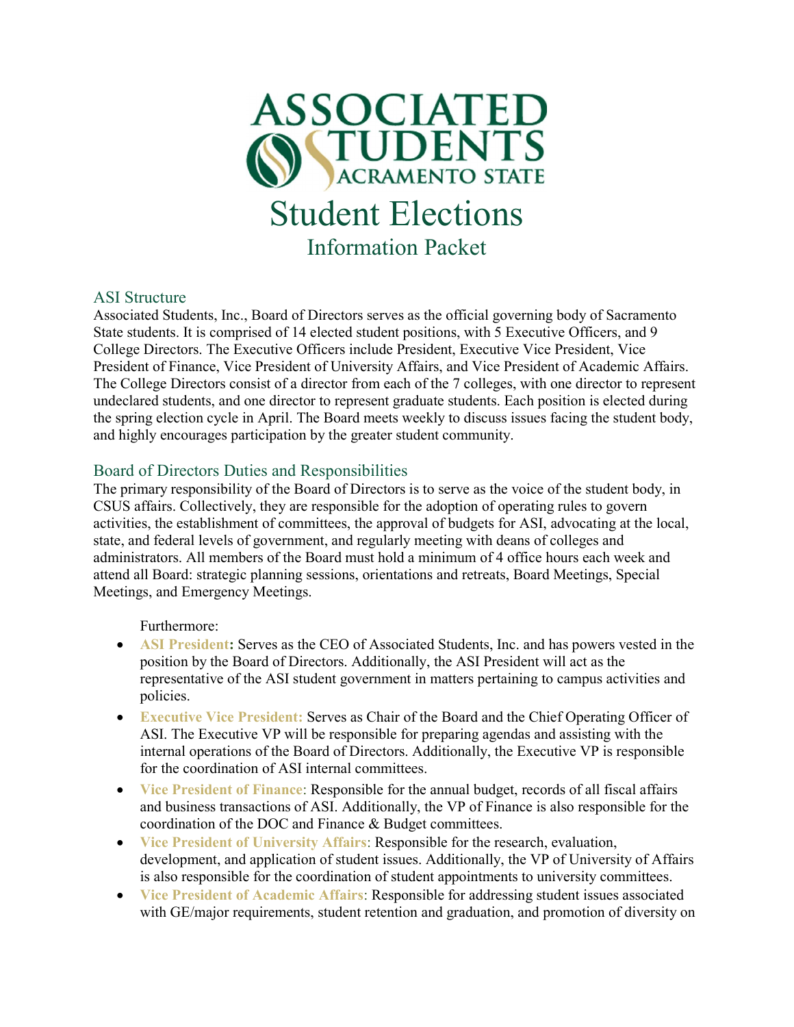

### ASI Structure

Associated Students, Inc., Board of Directors serves as the official governing body of Sacramento State students. It is comprised of 14 elected student positions, with 5 Executive Officers, and 9 College Directors. The Executive Officers include President, Executive Vice President, Vice President of Finance, Vice President of University Affairs, and Vice President of Academic Affairs. The College Directors consist of a director from each of the 7 colleges, with one director to represent undeclared students, and one director to represent graduate students. Each position is elected during the spring election cycle in April. The Board meets weekly to discuss issues facing the student body, and highly encourages participation by the greater student community.

### Board of Directors Duties and Responsibilities

The primary responsibility of the Board of Directors is to serve as the voice of the student body, in CSUS affairs. Collectively, they are responsible for the adoption of operating rules to govern activities, the establishment of committees, the approval of budgets for ASI, advocating at the local, state, and federal levels of government, and regularly meeting with deans of colleges and administrators. All members of the Board must hold a minimum of 4 office hours each week and attend all Board: strategic planning sessions, orientations and retreats, Board Meetings, Special Meetings, and Emergency Meetings.

Furthermore:

- ASI President: Serves as the CEO of Associated Students, Inc. and has powers vested in the position by the Board of Directors. Additionally, the ASI President will act as the representative of the ASI student government in matters pertaining to campus activities and policies.
- Executive Vice President: Serves as Chair of the Board and the Chief Operating Officer of ASI. The Executive VP will be responsible for preparing agendas and assisting with the internal operations of the Board of Directors. Additionally, the Executive VP is responsible for the coordination of ASI internal committees.
- Vice President of Finance: Responsible for the annual budget, records of all fiscal affairs and business transactions of ASI. Additionally, the VP of Finance is also responsible for the coordination of the DOC and Finance & Budget committees.
- Vice President of University Affairs: Responsible for the research, evaluation, development, and application of student issues. Additionally, the VP of University of Affairs is also responsible for the coordination of student appointments to university committees.
- Vice President of Academic Affairs: Responsible for addressing student issues associated with GE/major requirements, student retention and graduation, and promotion of diversity on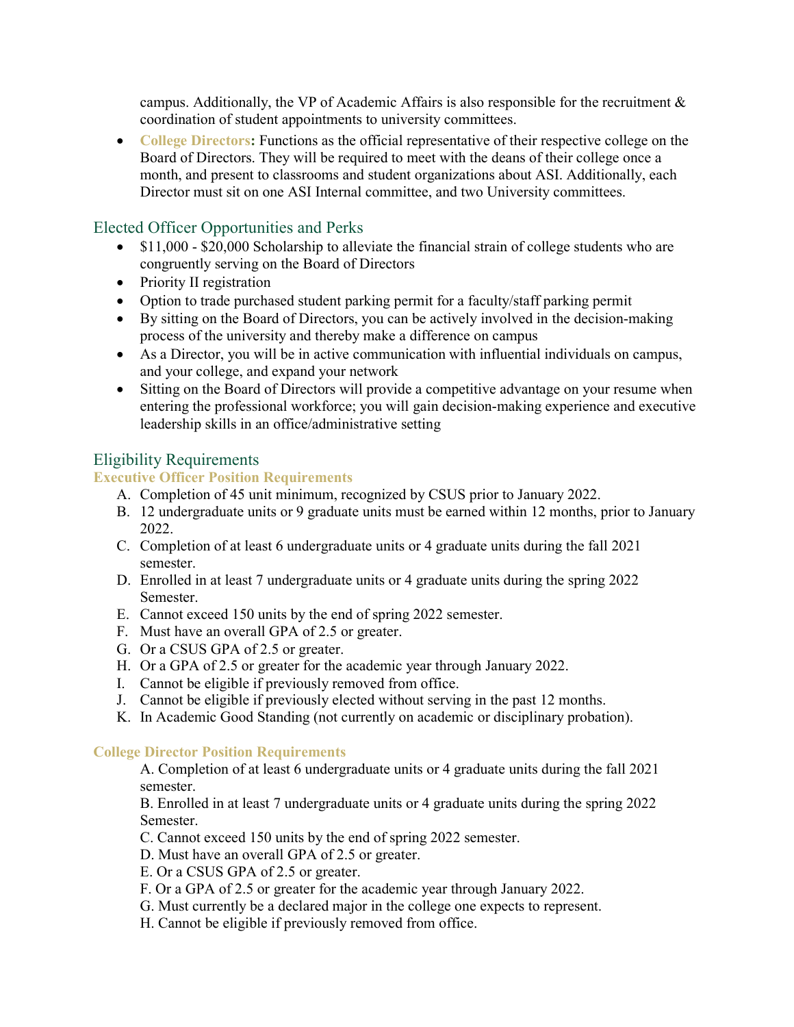campus. Additionally, the VP of Academic Affairs is also responsible for the recruitment  $\&$ coordination of student appointments to university committees.

• College Directors: Functions as the official representative of their respective college on the Board of Directors. They will be required to meet with the deans of their college once a month, and present to classrooms and student organizations about ASI. Additionally, each Director must sit on one ASI Internal committee, and two University committees.

## Elected Officer Opportunities and Perks

- \$11,000 \$20,000 Scholarship to alleviate the financial strain of college students who are congruently serving on the Board of Directors
- Priority II registration
- Option to trade purchased student parking permit for a faculty/staff parking permit
- By sitting on the Board of Directors, you can be actively involved in the decision-making process of the university and thereby make a difference on campus
- As a Director, you will be in active communication with influential individuals on campus, and your college, and expand your network
- Sitting on the Board of Directors will provide a competitive advantage on your resume when entering the professional workforce; you will gain decision-making experience and executive leadership skills in an office/administrative setting

# Eligibility Requirements

### Executive Officer Position Requirements

- A. Completion of 45 unit minimum, recognized by CSUS prior to January 2022.
- B. 12 undergraduate units or 9 graduate units must be earned within 12 months, prior to January 2022.
- C. Completion of at least 6 undergraduate units or 4 graduate units during the fall 2021 semester.
- D. Enrolled in at least 7 undergraduate units or 4 graduate units during the spring 2022 Semester.
- E. Cannot exceed 150 units by the end of spring 2022 semester.
- F. Must have an overall GPA of 2.5 or greater.
- G. Or a CSUS GPA of 2.5 or greater.
- H. Or a GPA of 2.5 or greater for the academic year through January 2022.
- I. Cannot be eligible if previously removed from office.
- J. Cannot be eligible if previously elected without serving in the past 12 months.
- K. In Academic Good Standing (not currently on academic or disciplinary probation).

#### College Director Position Requirements

A. Completion of at least 6 undergraduate units or 4 graduate units during the fall 2021 semester.

B. Enrolled in at least 7 undergraduate units or 4 graduate units during the spring 2022 Semester.

- C. Cannot exceed 150 units by the end of spring 2022 semester.
- D. Must have an overall GPA of 2.5 or greater.
- E. Or a CSUS GPA of 2.5 or greater.
- F. Or a GPA of 2.5 or greater for the academic year through January 2022.
- G. Must currently be a declared major in the college one expects to represent.
- H. Cannot be eligible if previously removed from office.